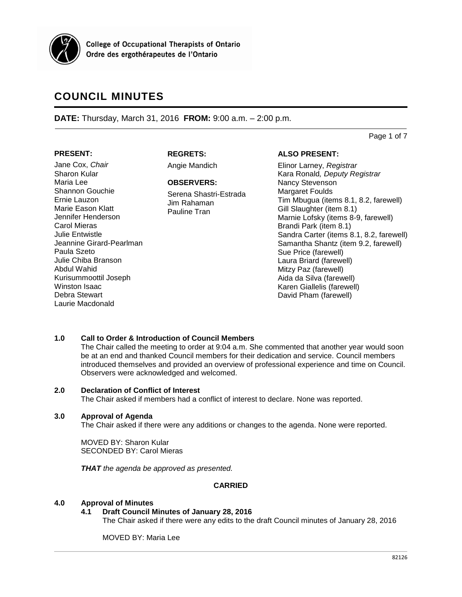

**College of Occupational Therapists of Ontario** Ordre des ergothérapeutes de l'Ontario

# **COUNCIL MINUTES**

**DATE:** Thursday, March 31, 2016 **FROM:** 9:00 a.m. – 2:00 p.m.

Page 1 of 7

# **PRESENT:**

**REGRETS:**

Jane Cox, *Chair* Sharon Kular Maria Lee Shannon Gouchie Ernie Lauzon Marie Eason Klatt Jennifer Henderson Carol Mieras Julie Entwistle Jeannine Girard-Pearlman Paula Szeto Julie Chiba Branson Abdul Wahid Kurisummoottil Joseph Winston Isaac Debra Stewart Laurie Macdonald

Angie Mandich

#### **OBSERVERS:**

Serena Shastri-Estrada Jim Rahaman Pauline Tran

# **ALSO PRESENT:**

Elinor Larney, *Registrar* Kara Ronald*, Deputy Registrar* Nancy Stevenson Margaret Foulds Tim Mbugua (items 8.1, 8.2, farewell) Gill Slaughter (item 8.1) Marnie Lofsky (items 8-9, farewell) Brandi Park (item 8.1) Sandra Carter (items 8.1, 8.2, farewell) Samantha Shantz (item 9.2, farewell) Sue Price (farewell) Laura Briard (farewell) Mitzy Paz (farewell) Aida da Silva (farewell) Karen Giallelis (farewell) David Pham (farewell)

# **1.0 Call to Order & Introduction of Council Members**

The Chair called the meeting to order at 9:04 a.m. She commented that another year would soon be at an end and thanked Council members for their dedication and service. Council members introduced themselves and provided an overview of professional experience and time on Council. Observers were acknowledged and welcomed.

## **2.0 Declaration of Conflict of Interest**

The Chair asked if members had a conflict of interest to declare. None was reported.

## **3.0 Approval of Agenda**

The Chair asked if there were any additions or changes to the agenda. None were reported.

MOVED BY: Sharon Kular SECONDED BY: Carol Mieras

*THAT the agenda be approved as presented.*

# **CARRIED**

## **4.0 Approval of Minutes**

## **4.1 Draft Council Minutes of January 28, 2016**

The Chair asked if there were any edits to the draft Council minutes of January 28, 2016

MOVED BY: Maria Lee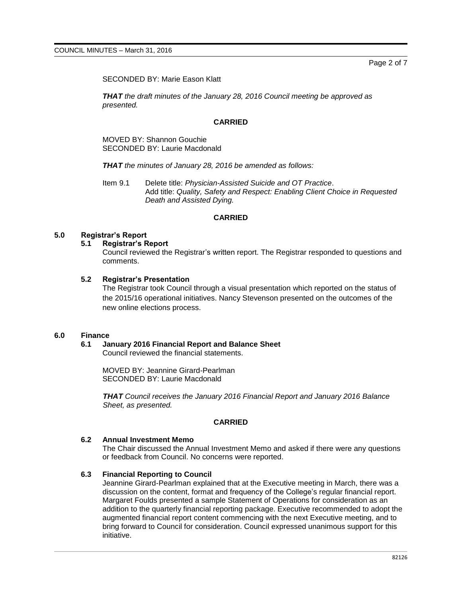SECONDED BY: Marie Eason Klatt

*THAT the draft minutes of the January 28, 2016 Council meeting be approved as presented.*

## **CARRIED**

MOVED BY: Shannon Gouchie SECONDED BY: Laurie Macdonald

*THAT the minutes of January 28, 2016 be amended as follows:*

Item 9.1 Delete title: *Physician-Assisted Suicide and OT Practice*. Add title: *Quality, Safety and Respect: Enabling Client Choice in Requested Death and Assisted Dying.*

#### **CARRIED**

#### **5.0 Registrar's Report**

#### **5.1 Registrar's Report**

Council reviewed the Registrar's written report. The Registrar responded to questions and comments.

#### **5.2 Registrar's Presentation**

The Registrar took Council through a visual presentation which reported on the status of the 2015/16 operational initiatives. Nancy Stevenson presented on the outcomes of the new online elections process.

## **6.0 Finance**

#### **6.1 January 2016 Financial Report and Balance Sheet**

Council reviewed the financial statements.

MOVED BY: Jeannine Girard-Pearlman SECONDED BY: Laurie Macdonald

*THAT Council receives the January 2016 Financial Report and January 2016 Balance Sheet, as presented.*

## **CARRIED**

#### **6.2 Annual Investment Memo**

The Chair discussed the Annual Investment Memo and asked if there were any questions or feedback from Council. No concerns were reported.

#### **6.3 Financial Reporting to Council**

Jeannine Girard-Pearlman explained that at the Executive meeting in March, there was a discussion on the content, format and frequency of the College's regular financial report. Margaret Foulds presented a sample Statement of Operations for consideration as an addition to the quarterly financial reporting package. Executive recommended to adopt the augmented financial report content commencing with the next Executive meeting, and to bring forward to Council for consideration. Council expressed unanimous support for this initiative.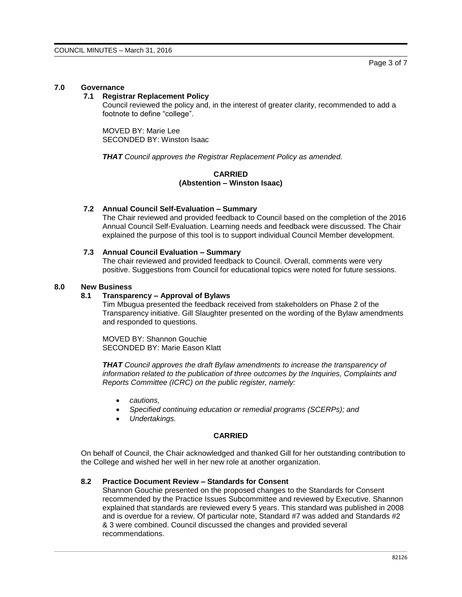## **7.0 Governance**

# **7.1 Registrar Replacement Policy**

Council reviewed the policy and, in the interest of greater clarity, recommended to add a footnote to define "college".

MOVED BY: Marie Lee SECONDED BY: Winston Isaac

*THAT Council approves the Registrar Replacement Policy as amended.*

**CARRIED (Abstention – Winston Isaac)**

## **7.2 Annual Council Self-Evaluation – Summary**

The Chair reviewed and provided feedback to Council based on the completion of the 2016 Annual Council Self-Evaluation. Learning needs and feedback were discussed. The Chair explained the purpose of this tool is to support individual Council Member development.

## **7.3 Annual Council Evaluation – Summary**

The chair reviewed and provided feedback to Council. Overall, comments were very positive. Suggestions from Council for educational topics were noted for future sessions.

# **8.0 New Business**

#### **8.1 Transparency – Approval of Bylaws**

Tim Mbugua presented the feedback received from stakeholders on Phase 2 of the Transparency initiative. Gill Slaughter presented on the wording of the Bylaw amendments and responded to questions.

MOVED BY: Shannon Gouchie SECONDED BY: Marie Eason Klatt

*THAT Council approves the draft Bylaw amendments to increase the transparency of information related to the publication of three outcomes by the Inquiries, Complaints and Reports Committee (ICRC) on the public register, namely:*

- *cautions,*
- *Specified continuing education or remedial programs (SCERPs); and*
- *Undertakings.*

# **CARRIED**

On behalf of Council, the Chair acknowledged and thanked Gill for her outstanding contribution to the College and wished her well in her new role at another organization.

## **8.2 Practice Document Review – Standards for Consent**

Shannon Gouchie presented on the proposed changes to the Standards for Consent recommended by the Practice Issues Subcommittee and reviewed by Executive. Shannon explained that standards are reviewed every 5 years. This standard was published in 2008 and is overdue for a review. Of particular note, Standard #7 was added and Standards #2 & 3 were combined. Council discussed the changes and provided several recommendations.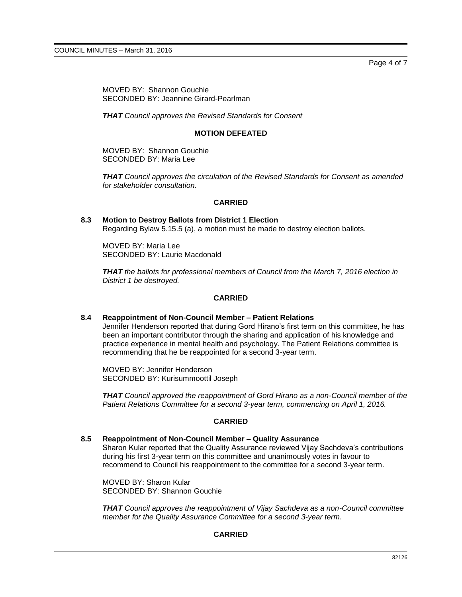Page 4 of 7

MOVED BY: Shannon Gouchie SECONDED BY: Jeannine Girard-Pearlman

*THAT Council approves the Revised Standards for Consent*

## **MOTION DEFEATED**

MOVED BY: Shannon Gouchie SECONDED BY: Maria Lee

*THAT Council approves the circulation of the Revised Standards for Consent as amended for stakeholder consultation.*

## **CARRIED**

**8.3 Motion to Destroy Ballots from District 1 Election** Regarding Bylaw 5.15.5 (a), a motion must be made to destroy election ballots.

MOVED BY: Maria Lee SECONDED BY: Laurie Macdonald

*THAT the ballots for professional members of Council from the March 7, 2016 election in District 1 be destroyed.*

# **CARRIED**

## **8.4 Reappointment of Non-Council Member – Patient Relations**

Jennifer Henderson reported that during Gord Hirano's first term on this committee, he has been an important contributor through the sharing and application of his knowledge and practice experience in mental health and psychology. The Patient Relations committee is recommending that he be reappointed for a second 3-year term.

MOVED BY: Jennifer Henderson SECONDED BY: Kurisummoottil Joseph

*THAT Council approved the reappointment of Gord Hirano as a non-Council member of the Patient Relations Committee for a second 3-year term, commencing on April 1, 2016.*

## **CARRIED**

# **8.5 Reappointment of Non-Council Member – Quality Assurance**

Sharon Kular reported that the Quality Assurance reviewed Vijay Sachdeva's contributions during his first 3-year term on this committee and unanimously votes in favour to recommend to Council his reappointment to the committee for a second 3-year term.

MOVED BY: Sharon Kular SECONDED BY: Shannon Gouchie

*THAT Council approves the reappointment of Vijay Sachdeva as a non-Council committee member for the Quality Assurance Committee for a second 3-year term.*

# **CARRIED**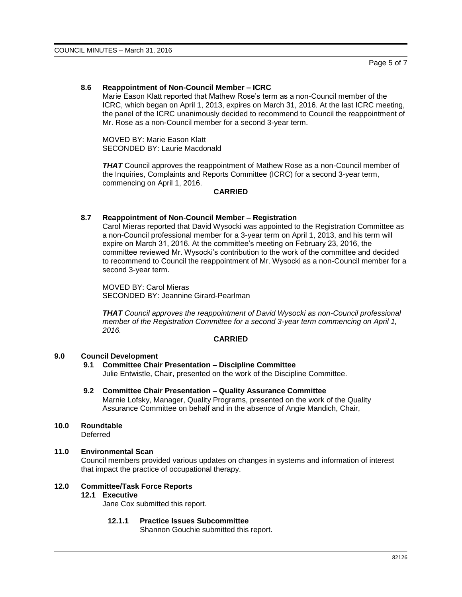## **8.6 Reappointment of Non-Council Member – ICRC**

Marie Eason Klatt reported that Mathew Rose's term as a non-Council member of the ICRC, which began on April 1, 2013, expires on March 31, 2016. At the last ICRC meeting, the panel of the ICRC unanimously decided to recommend to Council the reappointment of Mr. Rose as a non-Council member for a second 3-year term.

MOVED BY: Marie Eason Klatt SECONDED BY: Laurie Macdonald

*THAT* Council approves the reappointment of Mathew Rose as a non-Council member of the Inquiries, Complaints and Reports Committee (ICRC) for a second 3-year term, commencing on April 1, 2016.

## **CARRIED**

#### **8.7 Reappointment of Non-Council Member – Registration**

Carol Mieras reported that David Wysocki was appointed to the Registration Committee as a non-Council professional member for a 3-year term on April 1, 2013, and his term will expire on March 31, 2016. At the committee's meeting on February 23, 2016, the committee reviewed Mr. Wysocki's contribution to the work of the committee and decided to recommend to Council the reappointment of Mr. Wysocki as a non-Council member for a second 3-year term.

MOVED BY: Carol Mieras SECONDED BY: Jeannine Girard-Pearlman

*THAT Council approves the reappointment of David Wysocki as non-Council professional member of the Registration Committee for a second 3-year term commencing on April 1, 2016.*

#### **CARRIED**

#### **9.0 Council Development**

**9.1 Committee Chair Presentation – Discipline Committee**

Julie Entwistle, Chair, presented on the work of the Discipline Committee.

- **9.2 Committee Chair Presentation – Quality Assurance Committee** Marnie Lofsky, Manager, Quality Programs, presented on the work of the Quality Assurance Committee on behalf and in the absence of Angie Mandich, Chair,
- **10.0 Roundtable**

**Deferred** 

## **11.0 Environmental Scan**

Council members provided various updates on changes in systems and information of interest that impact the practice of occupational therapy.

## **12.0 Committee/Task Force Reports**

# **12.1 Executive**

Jane Cox submitted this report.

## **12.1.1 Practice Issues Subcommittee**

Shannon Gouchie submitted this report.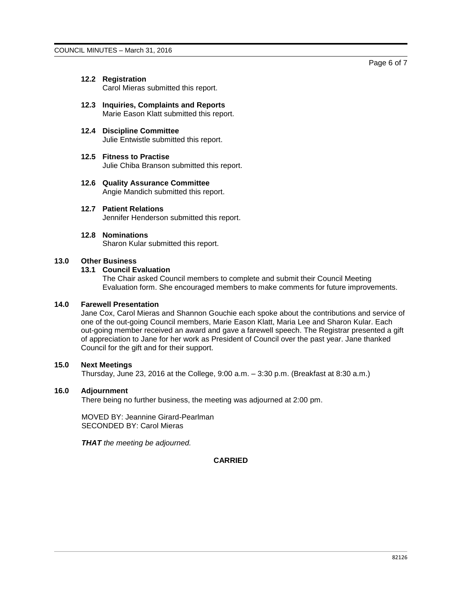# **12.2 Registration**

Carol Mieras submitted this report.

**12.3 Inquiries, Complaints and Reports** Marie Eason Klatt submitted this report.

#### **12.4 Discipline Committee** Julie Entwistle submitted this report.

- **12.5 Fitness to Practise** Julie Chiba Branson submitted this report.
- **12.6 Quality Assurance Committee** Angie Mandich submitted this report.
- **12.7 Patient Relations**

Jennifer Henderson submitted this report.

#### **12.8 Nominations**

Sharon Kular submitted this report.

#### **13.0 Other Business**

## **13.1 Council Evaluation**

The Chair asked Council members to complete and submit their Council Meeting Evaluation form. She encouraged members to make comments for future improvements.

#### **14.0 Farewell Presentation**

Jane Cox, Carol Mieras and Shannon Gouchie each spoke about the contributions and service of one of the out-going Council members, Marie Eason Klatt, Maria Lee and Sharon Kular. Each out-going member received an award and gave a farewell speech. The Registrar presented a gift of appreciation to Jane for her work as President of Council over the past year. Jane thanked Council for the gift and for their support.

# **15.0 Next Meetings**

Thursday, June 23, 2016 at the College, 9:00 a.m. – 3:30 p.m. (Breakfast at 8:30 a.m.)

#### **16.0 Adjournment**

There being no further business, the meeting was adjourned at 2:00 pm.

MOVED BY: Jeannine Girard-Pearlman SECONDED BY: Carol Mieras

*THAT the meeting be adjourned.*

# **CARRIED**